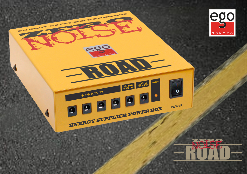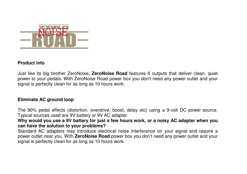

#### **Product info**

Just like its big brother ZeroNoise, **ZeroNoise Road** features 6 outputs that deliver clean, quiet power to your pedals. With ZeroNoise Road power box you don't need any power outlet and your signal is perfectly clean for as long as 10 hours work.

### **Eliminate AC ground loop**

The 90% pedal effects (distortion, overdrive, boost, delay etc) using a 9-volt DC power source. Typical sources used are 9V battery or 9V AC adapter.

 **Why would you use a 9V battery for just a few hours work, or a noisy AC adapter when you can have the solution to your problems?** 

 Standard AC adapters may introduce electrical noise interference on your signal and require a power outlet near you. With **ZeroNoise Road** power box you don't need any power outlet and yoursignal is perfectly clean for as long as 10 hours work.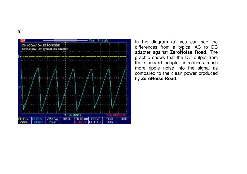



In the diagram (a) you can see the differences from a typical AC to DC adapter against **ZeroNoise Road**. The graphic shows that the DC output from the standard adapter introduces much more ripple noise into the signal as compared to the clean power produced by **ZeroNoise Road**.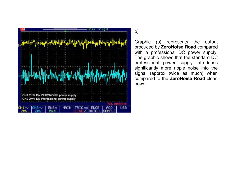

b)

Graphic (b) represents the output produced by **ZeroNoise Road** compared with a professional DC power supply. The graphic shows that the standard DC professional power supply introduces significantly more ripple noise into the signal (approx twice as much) when compared to the **ZeroNoise Road** clean power.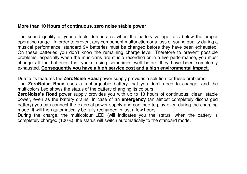#### **More than 10 Hours of continuous, zero noise stable power**

The sound quality of your effects deteriorates when the battery voltage falls below the proper operating range . In order to prevent any component malfunction or a loss of sound quality during a musical performance, standard 9V batteries must be changed before they have been exhausted. On these batteries you don't know the remaining charge level. Therefore to prevent possible problems, especially when the musicians are studio recording or in a live performance, you must change all the batteries that you're using sometimes well before they have been completely exhausted. **Consequently you have a high service cost and a high environmental impact.**

Due to its features the **ZeroNoise Road** power supply provides a solution for these problems. The **ZeroNoise Road** uses a rechargeable battery that you don't need to change, and the multicolors Led shows the status of the battery changing its colours.

 **ZeroNoise's Road** power supply provides you with up to 10 hours of continuous, clean, stable power, even as the battery drains. In case of an **emergency** (an almost completely discharged battery) you can connect the external power supply and continue to play even during the charging mode. It will then automatically be fully recharged in just a few hours.

 During the charge, the multicolour LED (will indicates you the status, when the battery is completely charged (100%), the status will switch automatically to the standard mode.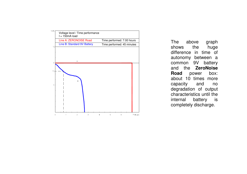

 $\frac{s}{s}$  The above graph shows the huge difference in time of autonomy between a common 9V battery and the **ZeroNoise** box: **Road** power about 10 times more capacity and no degradation of output characteristics until the is internal battery completely discharge.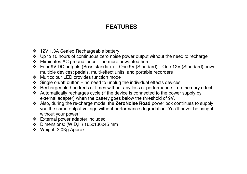# **FEATURES**

- 12V 1,3A Sealed Rechargeable battery
- $\cdot$  Up to 10 hours of continuous zero noise power output without the need to recharge
- $\div$  Eliminates AC ground loops no more unwanted hum
- Four 9V DC outputs (Boss standard) One 9V (Standard) One 12V (Standard) power multiple devices; pedals, multi-effect units, and portable recorders
- Multicolour LED provides function mode
- $\div$  Single on/off button no need to unplug the individual effects devices
- $\cdot \cdot$  Rechargeable hundreds of times without any loss of performance no memory effect
- Automatically recharges cycle (if the device is connected to the power supply by external adapter) when the battery goes below the threshold of 9V.
- Also, during the re-charge mode, the **ZeroNoise Road** power box continues to supply you the same output voltage without performance degradation. You'll never be caught without your power!
- External power adapter included
- Dimensions: (W,D,H) 165x130x45 mm
- Weight: 2,0Kg Approx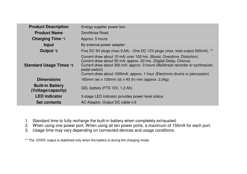| <b>Product Description</b>                    | Energy supplier power box                                                                                                                                                                                                                                                                                                     |
|-----------------------------------------------|-------------------------------------------------------------------------------------------------------------------------------------------------------------------------------------------------------------------------------------------------------------------------------------------------------------------------------|
| <b>Product Name</b>                           | ZeroNoise Road                                                                                                                                                                                                                                                                                                                |
| <b>Charging Time *1</b>                       | Approx. 5 hours                                                                                                                                                                                                                                                                                                               |
| Input                                         | By external power adapter                                                                                                                                                                                                                                                                                                     |
| Output *2                                     | Five DC 9V plugs (max 0,5A) - One DC 12V plugs (max. total output 500mA). **                                                                                                                                                                                                                                                  |
| Standard Usage Times *3                       | Current draw about 10 mA: over 100 hrs. (Boost, Overdrive, Distortion)<br>Current draw about 50 mA: approx. 20 hrs. (Digital Delay, Chorus)<br>Current draw about 300 mA: approx. 3 hours (Multitrack recorder or synthesizer,<br>pedal switch)<br>Current draw about 1000mA: approx. 1 hour (Electronic drums or percussion) |
| <b>Dimensions</b>                             | 165mm (w) x 130mm (d) x 40 (h) mm (approx. 2,0kg)                                                                                                                                                                                                                                                                             |
| <b>Built-in Battery</b><br>(Voltage/capacity) | GEL battery (FTS 12V, 1,3 Ah)                                                                                                                                                                                                                                                                                                 |
| <b>LED</b> indicator                          | 3-stage LED indicator provides power level status                                                                                                                                                                                                                                                                             |
| <b>Set contents</b>                           | AC Adaptor, Output DC cable n.6                                                                                                                                                                                                                                                                                               |

- 1. Standard time to fully recharge the built-in battery when completely exhausted.
- 2. When using one power port. When using all ten power ports, a maximum of 150mA for each port.
- 3. Usage time may vary depending on connected devices and usage conditions.

\*\* The 12VDC output is stabilized only when the battery is during the charging mode.